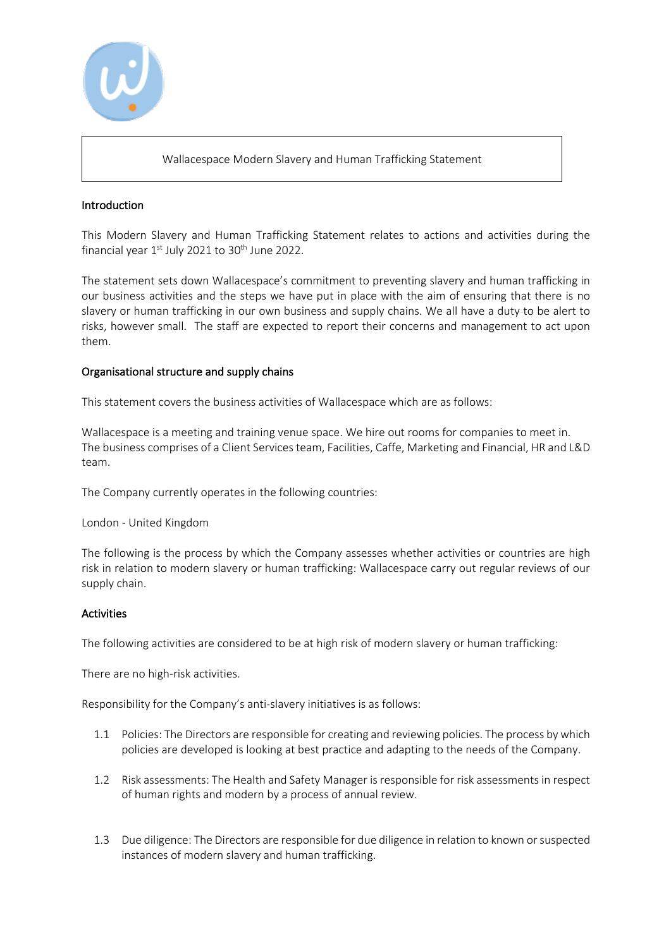

### Wallacespace Modern Slavery and Human Trafficking Statement

### Introduction

This Modern Slavery and Human Trafficking Statement relates to actions and activities during the financial year  $1^{st}$  July 2021 to 30<sup>th</sup> June 2022.

The statement sets down Wallacespace's commitment to preventing slavery and human trafficking in our business activities and the steps we have put in place with the aim of ensuring that there is no slavery or human trafficking in our own business and supply chains. We all have a duty to be alert to risks, however small. The staff are expected to report their concerns and management to act upon them.

### Organisational structure and supply chains

This statement covers the business activities of Wallacespace which are as follows:

Wallacespace is a meeting and training venue space. We hire out rooms for companies to meet in. The business comprises of a Client Services team, Facilities, Caffe, Marketing and Financial, HR and L&D team.

The Company currently operates in the following countries:

#### London - United Kingdom

The following is the process by which the Company assesses whether activities or countries are high risk in relation to modern slavery or human trafficking: Wallacespace carry out regular reviews of our supply chain.

#### Activities

The following activities are considered to be at high risk of modern slavery or human trafficking:

There are no high-risk activities.

Responsibility for the Company's anti-slavery initiatives is as follows:

- 1.1 Policies: The Directors are responsible for creating and reviewing policies. The process by which policies are developed is looking at best practice and adapting to the needs of the Company.
- 1.2 Risk assessments: The Health and Safety Manager is responsible for risk assessments in respect of human rights and modern by a process of annual review.
- 1.3 Due diligence: The Directors are responsible for due diligence in relation to known or suspected instances of modern slavery and human trafficking.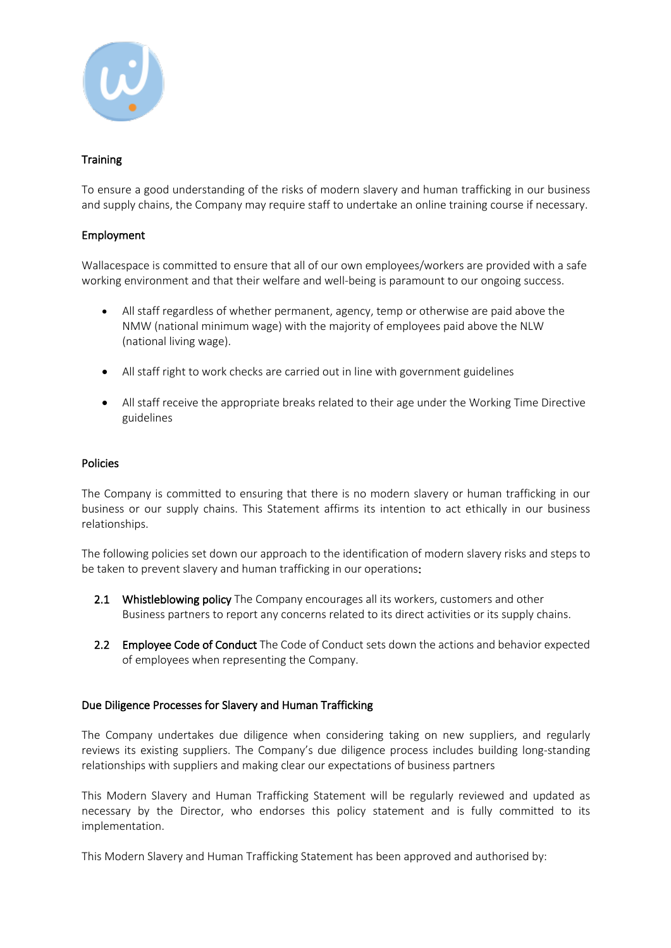

# **Training**

To ensure a good understanding of the risks of modern slavery and human trafficking in our business and supply chains, the Company may require staff to undertake an online training course if necessary.

## Employment

Wallacespace is committed to ensure that all of our own employees/workers are provided with a safe working environment and that their welfare and well-being is paramount to our ongoing success.

- All staff regardless of whether permanent, agency, temp or otherwise are paid above the NMW (national minimum wage) with the majority of employees paid above the NLW (national living wage).
- All staff right to work checks are carried out in line with government guidelines
- All staff receive the appropriate breaks related to their age under the Working Time Directive guidelines

#### Policies

The Company is committed to ensuring that there is no modern slavery or human trafficking in our business or our supply chains. This Statement affirms its intention to act ethically in our business relationships.

The following policies set down our approach to the identification of modern slavery risks and steps to be taken to prevent slavery and human trafficking in our operations:

- 2.1 Whistleblowing policy The Company encourages all its workers, customers and other Business partners to report any concerns related to its direct activities or its supply chains.
- 2.2 Employee Code of Conduct The Code of Conduct sets down the actions and behavior expected of employees when representing the Company.

## Due Diligence Processes for Slavery and Human Trafficking

The Company undertakes due diligence when considering taking on new suppliers, and regularly reviews its existing suppliers. The Company's due diligence process includes building long-standing relationships with suppliers and making clear our expectations of business partners

This Modern Slavery and Human Trafficking Statement will be regularly reviewed and updated as necessary by the Director, who endorses this policy statement and is fully committed to its implementation.

This Modern Slavery and Human Trafficking Statement has been approved and authorised by: